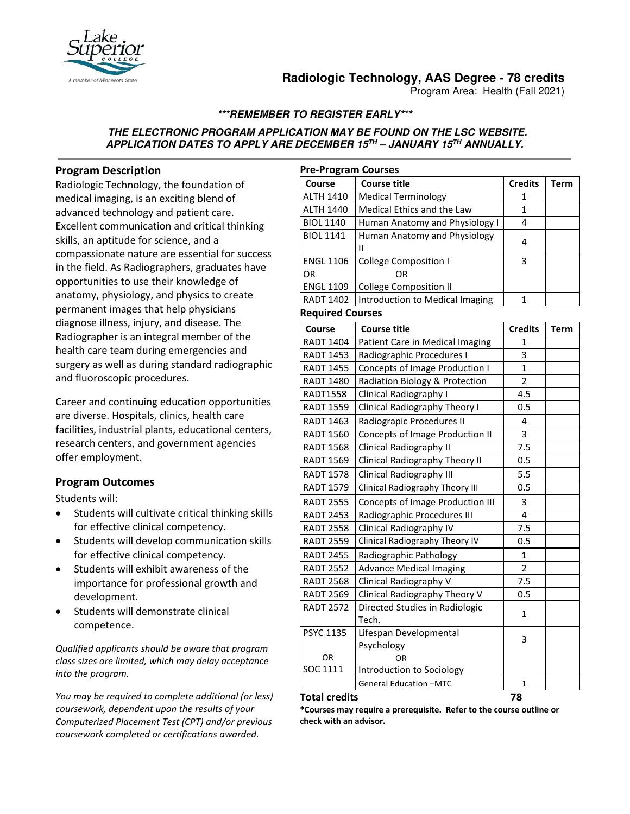

# **Radiologic Technology, AAS Degree - 78 credits**

Program Area: Health (Fall 2021)

# **\*\*\*REMEMBER TO REGISTER EARLY\*\*\***

### **THE ELECTRONIC PROGRAM APPLICATION MAY BE FOUND ON THE LSC WEBSITE. APPLICATION DATES TO APPLY ARE DECEMBER 15TH – JANUARY 15TH ANNUALLY.**

### **Program Description**

Radiologic Technology, the foundation of medical imaging, is an exciting blend of advanced technology and patient care. Excellent communication and critical thinking skills, an aptitude for science, and a compassionate nature are essential for success in the field. As Radiographers, graduates have opportunities to use their knowledge of anatomy, physiology, and physics to create permanent images that help physicians diagnose illness, injury, and disease. The Radiographer is an integral member of the health care team during emergencies and surgery as well as during standard radiographic and fluoroscopic procedures.

Career and continuing education opportunities are diverse. Hospitals, clinics, health care facilities, industrial plants, educational centers, research centers, and government agencies offer employment.

### **Program Outcomes**

Students will:

- Students will cultivate critical thinking skills for effective clinical competency.
- Students will develop communication skills for effective clinical competency.
- Students will exhibit awareness of the importance for professional growth and development.
- Students will demonstrate clinical competence.

*Qualified applicants should be aware that program class sizes are limited, which may delay acceptance into the program.* 

*You may be required to complete additional (or less) coursework, dependent upon the results of your Computerized Placement Test (CPT) and/or previous coursework completed or certifications awarded.*

| <b>Pre-Program Courses</b> |                                 |                |      |  |
|----------------------------|---------------------------------|----------------|------|--|
| Course                     | <b>Course title</b>             | <b>Credits</b> | Term |  |
| <b>ALTH 1410</b>           | <b>Medical Terminology</b>      | 1              |      |  |
| <b>ALTH 1440</b>           | Medical Ethics and the Law      | 1              |      |  |
| <b>BIOL 1140</b>           | Human Anatomy and Physiology I  | 4              |      |  |
| <b>BIOL 1141</b>           | Human Anatomy and Physiology    | 4              |      |  |
|                            | н                               |                |      |  |
| <b>ENGL 1106</b>           | <b>College Composition I</b>    | 3              |      |  |
| OR                         | OR                              |                |      |  |
| <b>ENGL 1109</b>           | College Composition II          |                |      |  |
| <b>RADT 1402</b>           | Introduction to Medical Imaging |                |      |  |

#### **Required Courses**

| Course           | <b>Course title</b>              | <b>Credits</b> | <b>Term</b> |
|------------------|----------------------------------|----------------|-------------|
| <b>RADT 1404</b> | Patient Care in Medical Imaging  | 1              |             |
| <b>RADT 1453</b> | Radiographic Procedures I        | 3              |             |
| <b>RADT 1455</b> | Concepts of Image Production I   | $\mathbf{1}$   |             |
| <b>RADT 1480</b> | Radiation Biology & Protection   | $\overline{2}$ |             |
| <b>RADT1558</b>  | Clinical Radiography I           | 4.5            |             |
| <b>RADT 1559</b> | Clinical Radiography Theory I    | 0.5            |             |
| <b>RADT 1463</b> | Radiograpic Procedures II        | 4              |             |
| <b>RADT 1560</b> | Concepts of Image Production II  | 3              |             |
| <b>RADT 1568</b> | Clinical Radiography II          | 7.5            |             |
| <b>RADT 1569</b> | Clinical Radiography Theory II   | 0.5            |             |
| <b>RADT 1578</b> | Clinical Radiography III         | 5.5            |             |
| <b>RADT 1579</b> | Clinical Radiography Theory III  | 0.5            |             |
| <b>RADT 2555</b> | Concepts of Image Production III | 3              |             |
| <b>RADT 2453</b> | Radiographic Procedures III      | 4              |             |
| <b>RADT 2558</b> | Clinical Radiography IV          | 7.5            |             |
| <b>RADT 2559</b> | Clinical Radiography Theory IV   | 0.5            |             |
| <b>RADT 2455</b> | Radiographic Pathology           | $\mathbf{1}$   |             |
| <b>RADT 2552</b> | <b>Advance Medical Imaging</b>   | $\overline{2}$ |             |
| <b>RADT 2568</b> | Clinical Radiography V           | 7.5            |             |
| <b>RADT 2569</b> | Clinical Radiography Theory V    | 0.5            |             |
| <b>RADT 2572</b> | Directed Studies in Radiologic   | 1              |             |
|                  | Tech.                            |                |             |
| <b>PSYC 1135</b> | Lifespan Developmental           | 3              |             |
|                  | Psychology                       |                |             |
| <b>OR</b>        | OR                               |                |             |
| SOC 1111         | Introduction to Sociology        |                |             |
|                  | General Education -MTC           | 1              |             |

#### **Total credits 78**

**\*Courses may require a prerequisite. Refer to the course outline or check with an advisor.**